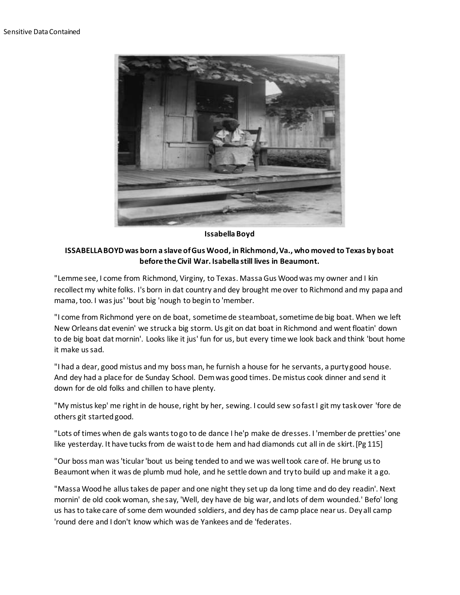

**Issabella Boyd**

## **ISSABELLA BOYD was born a slave of Gus Wood, in Richmond, Va., who moved to Texas by boat before the Civil War. Isabella still lives in Beaumont.**

"Lemme see, I come from Richmond, Virginy, to Texas. Massa Gus Wood was my owner and I kin recollect my white folks. I's born in dat country and dey brought me over to Richmond and my papa and mama, too. I was jus' 'bout big 'nough to begin to 'member.

"I come from Richmond yere on de boat, sometime de steamboat, sometime de big boat. When we left New Orleans dat evenin' we struck a big storm. Us git on dat boat in Richmond and went floatin' down to de big boat dat mornin'. Looks like it jus' fun for us, but every time we look back and think 'bout home it make us sad.

"I had a dear, good mistus and my boss man, he furnish a house for he servants, a purty good house. And dey had a place for de Sunday School. Dem was good times. De mistus cook dinner and send it down for de old folks and chillen to have plenty.

"My mistus kep' me right in de house, right by her, sewing. I could sew so fast I git my task over 'fore de others git started good.

"Lots of times when de gals wants to go to de dance I he'p make de dresses. I 'member de pretties' one like yesterday. It have tucks from de waist to de hem and had diamonds cut all in de skirt.[Pg 115]

"Our boss man was 'ticular 'bout us being tended to and we was well took care of. He brung us to Beaumont when it was de plumb mud hole, and he settle down and try to build up and make it a go.

"Massa Wood he allus takes de paper and one night they set up da long time and do dey readin'. Next mornin' de old cook woman, she say, 'Well, dey have de big war, and lots of dem wounded.' Befo' long us has to take care of some dem wounded soldiers, and dey has de camp place near us. Dey all camp 'round dere and I don't know which was de Yankees and de 'federates.